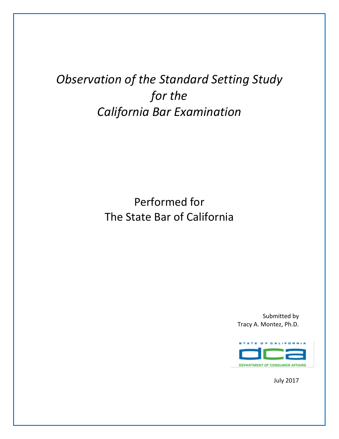# *Observation of the Standard Setting Study for the California Bar Examination*

# Performed for The State Bar of California

Submitted by Tracy A. Montez, Ph.D.



July 2017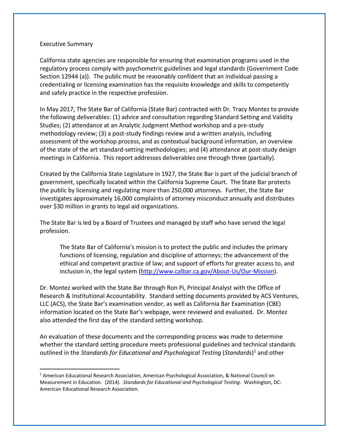#### Executive Summary

 $\overline{a}$ 

California state agencies are responsible for ensuring that examination programs used in the regulatory process comply with psychometric guidelines and legal standards (Government Code Section 12944 (a)). The public must be reasonably confident that an individual passing a credentialing or licensing examination has the requisite knowledge and skills to competently and safely practice in the respective profession.

In May 2017, The State Bar of California (State Bar) contracted with Dr. Tracy Montez to provide the following deliverables: (1) advice and consultation regarding Standard Setting and Validity Studies; (2) attendance at an Analytic Judgment Method workshop and a pre-study methodology review; (3) a post-study findings review and a written analysis, including assessment of the workshop process, and as contextual background information, an overview of the state of the art standard-setting methodologies; and (4) attendance at post-study design meetings in California. This report addresses deliverables one through three (partially).

Created by the California State Legislature in 1927, the State Bar is part of the judicial branch of government, specifically located within the California Supreme Court. The State Bar protects the public by licensing and regulating more than 250,000 attorneys. Further, the State Bar investigates approximately 16,000 complaints of attorney misconduct annually and distributes over \$30 million in grants to legal aid organizations.

The State Bar is led by a Board of Trustees and managed by staff who have served the legal profession.

The State Bar of California's mission is to protect the public and includes the primary functions of licensing, regulation and discipline of attorneys; the advancement of the ethical and competent practice of law; and support of efforts for greater access to, and inclusion in, the legal system [\(http://www.calbar.ca.gov/About-Us/Our-Mission\)](http://www.calbar.ca.gov/About-Us/Our-Mission).

Dr. Montez worked with the State Bar through Ron Pi, Principal Analyst with the Office of Research & Institutional Accountability. Standard setting documents provided by ACS Ventures, LLC (ACS), the State Bar's examination vendor, as well as California Bar Examination (CBE) information located on the State Bar's webpage, were reviewed and evaluated. Dr. Montez also attended the first day of the standard setting workshop.

An evaluation of these documents and the corresponding process was made to determine whether the standard setting procedure meets professional guidelines and technical standards outlined in the *Standards for Educational and Psychological Testing* (*Standards*) <sup>1</sup> and other

<sup>1</sup> American Educational Research Association, American Psychological Association, & National Council on Measurement in Education. (2014). *Standards for Educational and Psychological Testing*. Washington, DC: American Educational Research Association.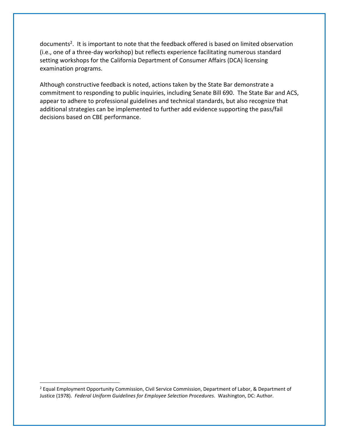documents<sup>2</sup>. It is important to note that the feedback offered is based on limited observation (i.e., one of a three-day workshop) but reflects experience facilitating numerous standard setting workshops for the California Department of Consumer Affairs (DCA) licensing examination programs.

Although constructive feedback is noted, actions taken by the State Bar demonstrate a commitment to responding to public inquiries, including Senate Bill 690. The State Bar and ACS, appear to adhere to professional guidelines and technical standards, but also recognize that additional strategies can be implemented to further add evidence supporting the pass/fail decisions based on CBE performance.

 $\overline{a}$ 

<sup>&</sup>lt;sup>2</sup> Equal Employment Opportunity Commission, Civil Service Commission, Department of Labor, & Department of Justice (1978). *Federal Uniform Guidelines for Employee Selection Procedures*. Washington, DC: Author.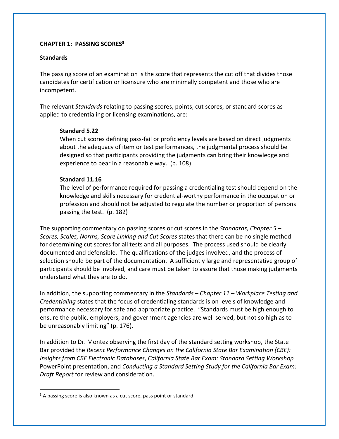# **CHAPTER 1: PASSING SCORES<sup>3</sup>**

#### **Standards**

The passing score of an examination is the score that represents the cut off that divides those candidates for certification or licensure who are minimally competent and those who are incompetent.

The relevant *Standards* relating to passing scores, points, cut scores, or standard scores as applied to credentialing or licensing examinations, are:

## **Standard 5.22**

When cut scores defining pass-fail or proficiency levels are based on direct judgments about the adequacy of item or test performances, the judgmental process should be designed so that participants providing the judgments can bring their knowledge and experience to bear in a reasonable way. (p. 108)

#### **Standard 11.16**

The level of performance required for passing a credentialing test should depend on the knowledge and skills necessary for credential-worthy performance in the occupation or profession and should not be adjusted to regulate the number or proportion of persons passing the test. (p. 182)

The supporting commentary on passing scores or cut scores in the *Standards, Chapter 5 – Scores, Scales, Norms, Score Linking and Cut Scores* states that there can be no single method for determining cut scores for all tests and all purposes. The process used should be clearly documented and defensible. The qualifications of the judges involved, and the process of selection should be part of the documentation. A sufficiently large and representative group of participants should be involved, and care must be taken to assure that those making judgments understand what they are to do.

In addition, the supporting commentary in the *Standards – Chapter 11 – Workplace Testing and Credentialing* states that the focus of credentialing standards is on levels of knowledge and performance necessary for safe and appropriate practice. "Standards must be high enough to ensure the public, employers, and government agencies are well served, but not so high as to be unreasonably limiting" (p. 176).

In addition to Dr. Montez observing the first day of the standard setting workshop, the State Bar provided the *Recent Performance Changes on the California State Bar Examination (CBE): Insights from CBE Electronic Databases*, *California State Bar Exam: Standard Setting Workshop* PowerPoint presentation, and *Conducting a Standard Setting Study for the California Bar Exam: Draft Report* for review and consideration.

 $\overline{a}$ 

<sup>&</sup>lt;sup>3</sup> A passing score is also known as a cut score, pass point or standard.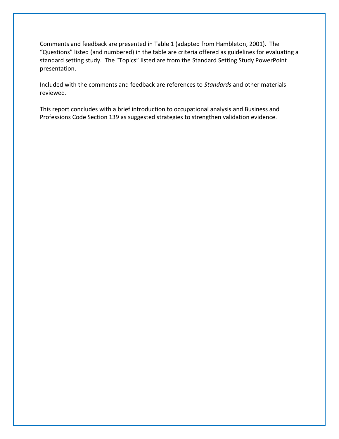Comments and feedback are presented in Table 1 (adapted from Hambleton, 2001). The "Questions" listed (and numbered) in the table are criteria offered as guidelines for evaluating a standard setting study. The "Topics" listed are from the Standard Setting Study PowerPoint presentation.

Included with the comments and feedback are references to *Standards* and other materials reviewed.

This report concludes with a brief introduction to occupational analysis and Business and Professions Code Section 139 as suggested strategies to strengthen validation evidence.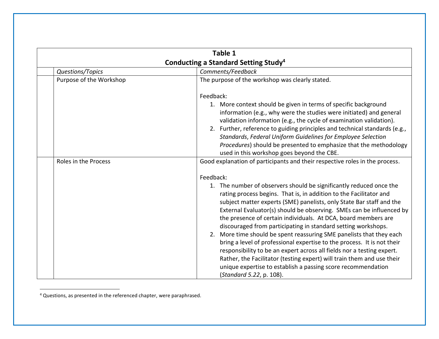|                         | Table 1<br>Conducting a Standard Setting Study <sup>4</sup>                                                                                                                                                                                                                                                                                                                                                                                                                                                                                                                                                                                                                                                                                                                                                                                  |  |  |
|-------------------------|----------------------------------------------------------------------------------------------------------------------------------------------------------------------------------------------------------------------------------------------------------------------------------------------------------------------------------------------------------------------------------------------------------------------------------------------------------------------------------------------------------------------------------------------------------------------------------------------------------------------------------------------------------------------------------------------------------------------------------------------------------------------------------------------------------------------------------------------|--|--|
|                         |                                                                                                                                                                                                                                                                                                                                                                                                                                                                                                                                                                                                                                                                                                                                                                                                                                              |  |  |
| Questions/Topics        | Comments/Feedback                                                                                                                                                                                                                                                                                                                                                                                                                                                                                                                                                                                                                                                                                                                                                                                                                            |  |  |
| Purpose of the Workshop | The purpose of the workshop was clearly stated.                                                                                                                                                                                                                                                                                                                                                                                                                                                                                                                                                                                                                                                                                                                                                                                              |  |  |
|                         | Feedback:<br>1. More context should be given in terms of specific background<br>information (e.g., why were the studies were initiated) and general<br>validation information (e.g., the cycle of examination validation).<br>2. Further, reference to guiding principles and technical standards (e.g.,<br>Standards, Federal Uniform Guidelines for Employee Selection<br>Procedures) should be presented to emphasize that the methodology<br>used in this workshop goes beyond the CBE.                                                                                                                                                                                                                                                                                                                                                  |  |  |
| Roles in the Process    | Good explanation of participants and their respective roles in the process.                                                                                                                                                                                                                                                                                                                                                                                                                                                                                                                                                                                                                                                                                                                                                                  |  |  |
|                         | Feedback:<br>1. The number of observers should be significantly reduced once the<br>rating process begins. That is, in addition to the Facilitator and<br>subject matter experts (SME) panelists, only State Bar staff and the<br>External Evaluator(s) should be observing. SMEs can be influenced by<br>the presence of certain individuals. At DCA, board members are<br>discouraged from participating in standard setting workshops.<br>2. More time should be spent reassuring SME panelists that they each<br>bring a level of professional expertise to the process. It is not their<br>responsibility to be an expert across all fields nor a testing expert.<br>Rather, the Facilitator (testing expert) will train them and use their<br>unique expertise to establish a passing score recommendation<br>(Standard 5.22, p. 108). |  |  |

<sup>4</sup> Questions, as presented in the referenced chapter, were paraphrased.

 $\overline{a}$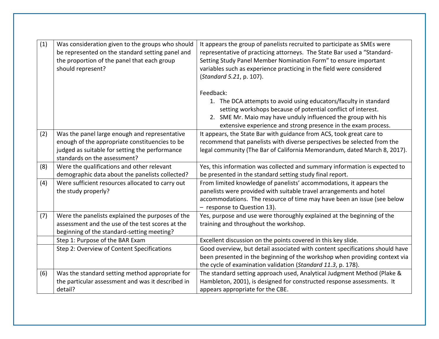| (1) | Was consideration given to the groups who should<br>be represented on the standard setting panel and<br>the proportion of the panel that each group<br>should represent?          | It appears the group of panelists recruited to participate as SMEs were<br>representative of practicing attorneys. The State Bar used a "Standard-<br>Setting Study Panel Member Nomination Form" to ensure important<br>variables such as experience practicing in the field were considered<br>(Standard 5.21, p. 107). |
|-----|-----------------------------------------------------------------------------------------------------------------------------------------------------------------------------------|---------------------------------------------------------------------------------------------------------------------------------------------------------------------------------------------------------------------------------------------------------------------------------------------------------------------------|
|     |                                                                                                                                                                                   | Feedback:<br>1. The DCA attempts to avoid using educators/faculty in standard<br>setting workshops because of potential conflict of interest.<br>2. SME Mr. Maio may have unduly influenced the group with his<br>extensive experience and strong presence in the exam process.                                           |
| (2) | Was the panel large enough and representative<br>enough of the appropriate constituencies to be<br>judged as suitable for setting the performance<br>standards on the assessment? | It appears, the State Bar with guidance from ACS, took great care to<br>recommend that panelists with diverse perspectives be selected from the<br>legal community (The Bar of California Memorandum, dated March 8, 2017).                                                                                               |
| (8) | Were the qualifications and other relevant<br>demographic data about the panelists collected?                                                                                     | Yes, this information was collected and summary information is expected to<br>be presented in the standard setting study final report.                                                                                                                                                                                    |
| (4) | Were sufficient resources allocated to carry out<br>the study properly?                                                                                                           | From limited knowledge of panelists' accommodations, it appears the<br>panelists were provided with suitable travel arrangements and hotel<br>accommodations. The resource of time may have been an issue (see below<br>- response to Question 13).                                                                       |
| (7) | Were the panelists explained the purposes of the<br>assessment and the use of the test scores at the<br>beginning of the standard-setting meeting?                                | Yes, purpose and use were thoroughly explained at the beginning of the<br>training and throughout the workshop.                                                                                                                                                                                                           |
|     | Step 1: Purpose of the BAR Exam                                                                                                                                                   | Excellent discussion on the points covered in this key slide.                                                                                                                                                                                                                                                             |
|     | Step 2: Overview of Content Specifications                                                                                                                                        | Good overview, but detail associated with content specifications should have<br>been presented in the beginning of the workshop when providing context via<br>the cycle of examination validation (Standard 11.3, p. 178).                                                                                                |
| (6) | Was the standard setting method appropriate for<br>the particular assessment and was it described in<br>detail?                                                                   | The standard setting approach used, Analytical Judgment Method (Plake &<br>Hambleton, 2001), is designed for constructed response assessments. It<br>appears appropriate for the CBE.                                                                                                                                     |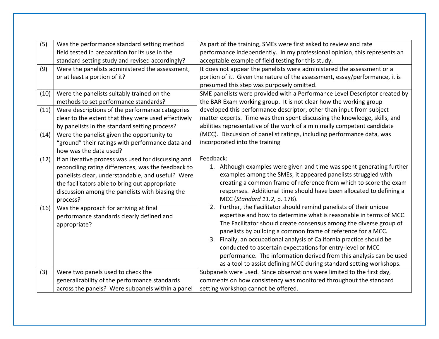| (5)  | Was the performance standard setting method         | As part of the training, SMEs were first asked to review and rate           |
|------|-----------------------------------------------------|-----------------------------------------------------------------------------|
|      | field tested in preparation for its use in the      | performance independently. In my professional opinion, this represents an   |
|      | standard setting study and revised accordingly?     | acceptable example of field testing for this study.                         |
| (9)  | Were the panelists administered the assessment,     | It does not appear the panelists were administered the assessment or a      |
|      | or at least a portion of it?                        | portion of it. Given the nature of the assessment, essay/performance, it is |
|      |                                                     | presumed this step was purposely omitted.                                   |
| (10) | Were the panelists suitably trained on the          | SME panelists were provided with a Performance Level Descriptor created by  |
|      | methods to set performance standards?               | the BAR Exam working group. It is not clear how the working group           |
| (11) | Were descriptions of the performance categories     | developed this performance descriptor, other than input from subject        |
|      | clear to the extent that they were used effectively | matter experts. Time was then spent discussing the knowledge, skills, and   |
|      | by panelists in the standard setting process?       | abilities representative of the work of a minimally competent candidate     |
| (14) | Were the panelist given the opportunity to          | (MCC). Discussion of panelist ratings, including performance data, was      |
|      | "ground" their ratings with performance data and    | incorporated into the training                                              |
|      | how was the data used?                              |                                                                             |
| (12) | If an iterative process was used for discussing and | Feedback:                                                                   |
|      | reconciling rating differences, was the feedback to | 1. Although examples were given and time was spent generating further       |
|      | panelists clear, understandable, and useful? Were   | examples among the SMEs, it appeared panelists struggled with               |
|      | the facilitators able to bring out appropriate      | creating a common frame of reference from which to score the exam           |
|      | discussion among the panelists with biasing the     | responses. Additional time should have been allocated to defining a         |
|      | process?                                            | MCC (Standard 11.2, p. 178).                                                |
| (16) | Was the approach for arriving at final              | 2. Further, the Facilitator should remind panelists of their unique         |
|      | performance standards clearly defined and           | expertise and how to determine what is reasonable in terms of MCC.          |
|      | appropriate?                                        | The Facilitator should create consensus among the diverse group of          |
|      |                                                     | panelists by building a common frame of reference for a MCC.                |
|      |                                                     | Finally, an occupational analysis of California practice should be<br>3.    |
|      |                                                     | conducted to ascertain expectations for entry-level or MCC                  |
|      |                                                     | performance. The information derived from this analysis can be used         |
|      |                                                     | as a tool to assist defining MCC during standard setting workshops.         |
| (3)  | Were two panels used to check the                   | Subpanels were used. Since observations were limited to the first day,      |
|      | generalizability of the performance standards       | comments on how consistency was monitored throughout the standard           |
|      | across the panels? Were subpanels within a panel    | setting workshop cannot be offered.                                         |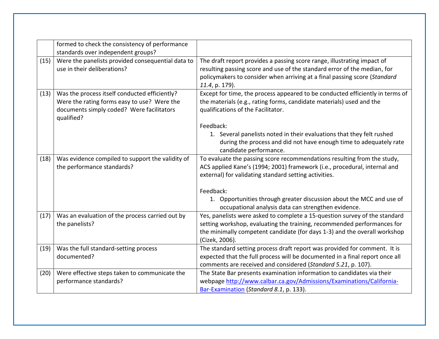|      | formed to check the consistency of performance<br>standards over independent groups?                                                                    |                                                                                                                                                                                                                                                      |
|------|---------------------------------------------------------------------------------------------------------------------------------------------------------|------------------------------------------------------------------------------------------------------------------------------------------------------------------------------------------------------------------------------------------------------|
| (15) | Were the panelists provided consequential data to<br>use in their deliberations?                                                                        | The draft report provides a passing score range, illustrating impact of<br>resulting passing score and use of the standard error of the median, for<br>policymakers to consider when arriving at a final passing score (Standard<br>11.4, p. 179).   |
| (13) | Was the process itself conducted efficiently?<br>Were the rating forms easy to use? Were the<br>documents simply coded? Were facilitators<br>qualified? | Except for time, the process appeared to be conducted efficiently in terms of<br>the materials (e.g., rating forms, candidate materials) used and the<br>qualifications of the Facilitator.                                                          |
|      |                                                                                                                                                         | Feedback:<br>1. Several panelists noted in their evaluations that they felt rushed<br>during the process and did not have enough time to adequately rate<br>candidate performance.                                                                   |
| (18) | Was evidence compiled to support the validity of<br>the performance standards?                                                                          | To evaluate the passing score recommendations resulting from the study,<br>ACS applied Kane's (1994; 2001) framework (i.e., procedural, internal and<br>external) for validating standard setting activities.                                        |
|      |                                                                                                                                                         | Feedback:<br>1. Opportunities through greater discussion about the MCC and use of<br>occupational analysis data can strengthen evidence.                                                                                                             |
| (17) | Was an evaluation of the process carried out by<br>the panelists?                                                                                       | Yes, panelists were asked to complete a 15-question survey of the standard<br>setting workshop, evaluating the training, recommended performances for<br>the minimally competent candidate (for days 1-3) and the overall workshop<br>(Cizek, 2006). |
| (19) | Was the full standard-setting process<br>documented?                                                                                                    | The standard setting process draft report was provided for comment. It is<br>expected that the full process will be documented in a final report once all<br>comments are received and considered (Standard 5.21, p. 107).                           |
| (20) | Were effective steps taken to communicate the<br>performance standards?                                                                                 | The State Bar presents examination information to candidates via their<br>webpage http://www.calbar.ca.gov/Admissions/Examinations/California-<br>Bar-Examination (Standard 8.1, p. 133).                                                            |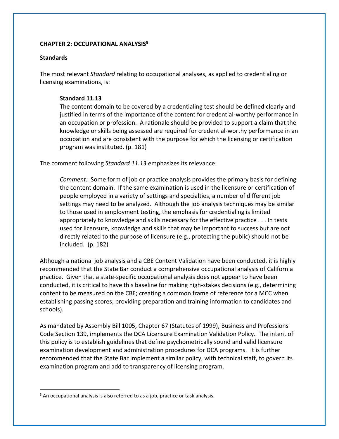# **CHAPTER 2: OCCUPATIONAL ANALYSIS<sup>5</sup>**

## **Standards**

 $\overline{a}$ 

The most relevant *Standard* relating to occupational analyses, as applied to credentialing or licensing examinations, is:

# **Standard 11.13**

The content domain to be covered by a credentialing test should be defined clearly and justified in terms of the importance of the content for credential-worthy performance in an occupation or profession. A rationale should be provided to support a claim that the knowledge or skills being assessed are required for credential-worthy performance in an occupation and are consistent with the purpose for which the licensing or certification program was instituted. (p. 181)

The comment following *Standard 11.13* emphasizes its relevance:

*Comment:* Some form of job or practice analysis provides the primary basis for defining the content domain. If the same examination is used in the licensure or certification of people employed in a variety of settings and specialties, a number of different job settings may need to be analyzed. Although the job analysis techniques may be similar to those used in employment testing, the emphasis for credentialing is limited appropriately to knowledge and skills necessary for the effective practice . . . In tests used for licensure, knowledge and skills that may be important to success but are not directly related to the purpose of licensure (e.g., protecting the public) should not be included. (p. 182)

Although a national job analysis and a CBE Content Validation have been conducted, it is highly recommended that the State Bar conduct a comprehensive occupational analysis of California practice. Given that a state-specific occupational analysis does not appear to have been conducted, it is critical to have this baseline for making high-stakes decisions (e.g., determining content to be measured on the CBE; creating a common frame of reference for a MCC when establishing passing scores; providing preparation and training information to candidates and schools).

As mandated by Assembly Bill 1005, Chapter 67 (Statutes of 1999), Business and Professions Code Section 139, implements the DCA Licensure Examination Validation Policy. The intent of this policy is to establish guidelines that define psychometrically sound and valid licensure examination development and administration procedures for DCA programs. It is further recommended that the State Bar implement a similar policy, with technical staff, to govern its examination program and add to transparency of licensing program.

<sup>&</sup>lt;sup>5</sup> An occupational analysis is also referred to as a job, practice or task analysis.